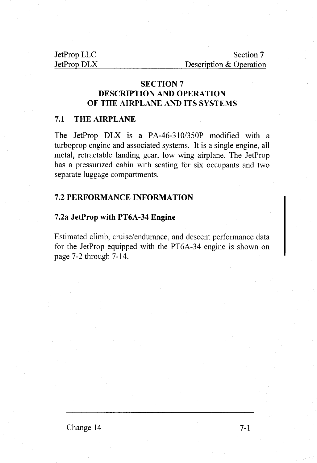JetProp LLC Section 7 JetProp DLX Description & Operation

# SECTION 7 DESCRIPTION AND OPERATION OF THE AIRPLANE AND ITS SYSTEMS

### 7.I THE AIRPLANE

The JetProp DLX is a PA-46-310/350P modified with a turboprop engine and associated systems. It is a single engine, all metal, retractable landing gear, low wing airplane. The JetProp has a pressurized cabin with seating for six occupants and two separate luggage compartments.

### 7.2 PERFORMANCE INFORMATION

### 7.2a JetProp with PT6A-34 Engine

Estimated climb, cruise/endurance, and descent performance data for the JetProp equipped with the PT6A-34 engine is shown on page 7-2 through 7-14.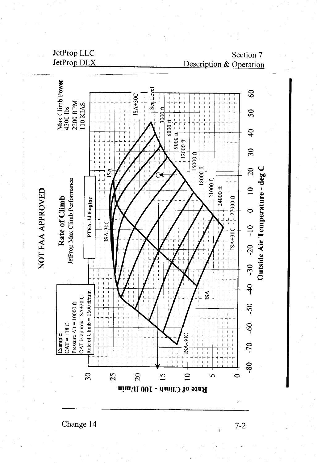

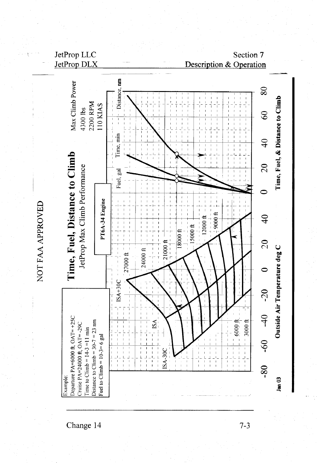



Change 14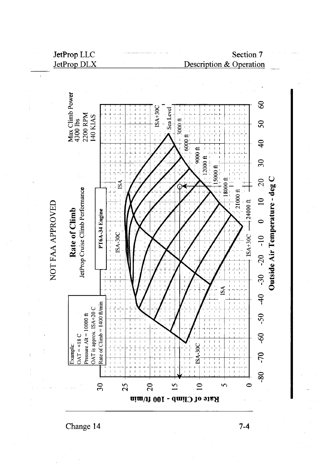Section 7 **Description & Operation** 



Change 14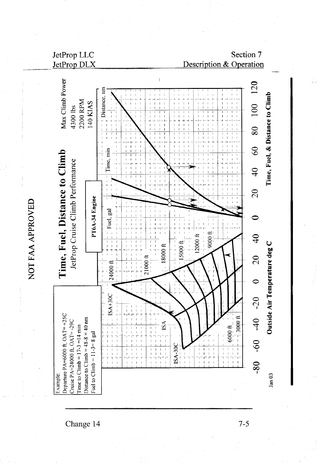Section 7 Description & Operation



NOT FAA APPROVED

Change 14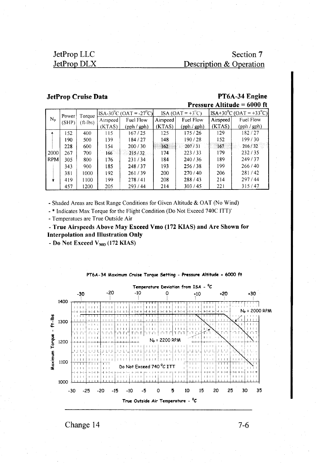Section 7 Description & Operation

### **JetProp Cruise Data**

### PT6A-34 Engine Pressure Altitude = 6000 ft

|             | Power | Torque   | $ ISA-30^{\circ}\text{C} (OAT = -27^{\circ}\text{C}) $ |             |          | ISA (OAT = $+3^{\circ}$ C) |          | $ $ ISA+30 <sup>o</sup> C (OAT = +33 <sup>o</sup> C) |  |
|-------------|-------|----------|--------------------------------------------------------|-------------|----------|----------------------------|----------|------------------------------------------------------|--|
| $N_{\tt p}$ | (SHP) | (ft-lbs) | Airspeed                                               | Fuel Flow   | Airspeed | Fuel Flow                  | Airspeed | Fuel Flow                                            |  |
|             |       |          | (KTAS)                                                 | (pph / gph) | (KTAS)   | $(\text{pph}/\text{gph})$  | (KTAS)   | (pph / gph)                                          |  |
|             | 152   | 400      | 115                                                    | 167/25      | 125      | 175/26                     | 129      | 182/27                                               |  |
|             | 190   | 500      | 139                                                    | 184/27      | 148      | 190/28                     | 152      | 199/30                                               |  |
|             | 228   | 600      | 154                                                    | 200/30      | 162      | 207/31                     | 167      | 216/32                                               |  |
| 2000        | 267   | 700      | 166                                                    | 215/32      | 174      | 223/33                     | 179      | 232/35                                               |  |
| <b>RPM</b>  | 305   | 800      | 176                                                    | 231/34      | 184      | 240/36                     | 189      | 249/37                                               |  |
|             | 343   | 900      | 185                                                    | 248/37      | 193      | 256/38                     | 199      | 266/40                                               |  |
|             | 381   | 1000     | 192                                                    | 261/39      | 200      | 270/40                     | 206      | 281/42                                               |  |
| v           | 419   | 1100     | 199                                                    | 278/41      | 208      | 288/43                     | 214      | 297/44                                               |  |
|             | 457   | 1200     | 205                                                    | 293/44      | 214      | 303/45                     | 221      | 315/47                                               |  |

- Shaded Areas are Best Range Conditions for Given Altitude & OAT (No Wind)

- \* Indicates Max Torque for the Flight Condition (Do Not Exceed 740C ITT)'

- Temperatues are True Outside Air

- True Airspeeds Above May Exceed Vmo (172 KIAS) and Are Shown for **Interpolation and Illustration Only** 

- Do Not Exceed  $V_{MO}$  (172 KIAS)



PT6A-34 Maximum Cruise Torque Setting - Pressure Altitude = 6000 ft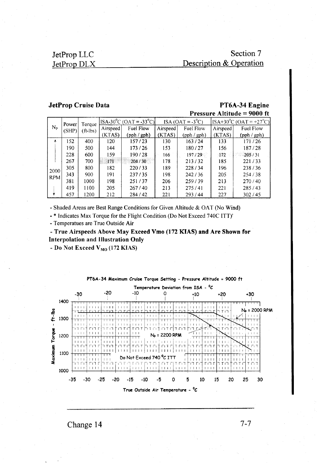## Section 7 Description & Operation

#### **JetProp Cruise Data**

PT6A-34 Engine Pressure Altitude = 9000 ft

|             | Power | Torque       | $[ISA-30^{\circ}C (OAT = -33^{\circ}C)]$ |           | $ISA (OAT = -30C)$ |                           | $[ISA+30^0C (OAT = +27^0C)]$ |             |
|-------------|-------|--------------|------------------------------------------|-----------|--------------------|---------------------------|------------------------------|-------------|
| $N_{\rm p}$ | (SHP) | $(ft - lbs)$ | Airspeed                                 | Fuel Flow | Airspeed           | Fuel Flow                 | Airspeed                     | Fuel Flow   |
|             |       |              | (KTAS)                                   | (pph/gph) | (KTAS)             | $(\text{pph}/\text{gph})$ | (KTAS)                       | (pph / gph) |
|             | 152   | 400          | 120                                      | 157/23    | 130                | 163/24                    | 133                          | 171/26      |
|             | 190   | 500          | 144                                      | 173/26    | 153                | 180/27                    | 156                          | 187/28      |
|             | 228   | 600          | 159                                      | 190/28    | 166                | 197/29                    | 172                          | 205/31      |
|             | 267   | 700          | 171                                      | 204/30    | 178                | 213/32                    | 185                          | 221/33      |
| 2000        | 305   | 800          | 182                                      | 220/33    | 189                | 228/34                    | 196                          | 238/36      |
| <b>RPM</b>  | 343   | 900          | 191                                      | 237/35    | 198                | 242/36                    | 205                          | 254/38      |
|             | 381   | 1000         | 198                                      | 251/37    | 206                | 259/39                    | 213                          | 270/40      |
|             | 419   | 1100         | 205                                      | 267/40    | 213                | 275/41                    | 221                          | 285/43      |
|             | 457   | 1200         | 212                                      | 284/42    | 221                | 293/44                    | 227                          | 302/45      |

- Shaded Areas are Best Range Conditions for Given Altitude & OAT (No Wind)

- \* Indicates Max Torque for the Flight Condition (Do Not Exceed 740C ITT)'

- Temperatues are True Outside Air

- True Airspeeds Above May Exceed Vmo (172 KIAS) and Are Shown for **Interpolation and Illustration Only** 

- Do Not Exceed V<sub>MO</sub> (172 KIAS)



PT6A-34 Maximum Cruise Torque Setting - Pressure Altitude = 9000 ft

Change 14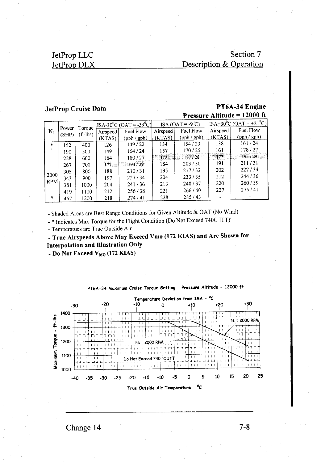# Section 7 Description & Operation

#### **JetProp Cruise Data**

#### PT6A-34 Engine **Pressure Altitude = 12000 ft**

|            |       |          | $ ISA-30^0C(OAT = -39^0C) $ |             |          | ISA (OAT = $-9^0C$ ) |          | $ SA+30^0C(OAT=+21^0C) $ |  |
|------------|-------|----------|-----------------------------|-------------|----------|----------------------|----------|--------------------------|--|
| N,         | Power | Torque   | Airspeed                    | Fuel Flow   | Airspeed | Fuel Flow            | Airspeed | Fuel Flow                |  |
|            | (SHP) | (ft-lbs) | (KTAS)                      | (pph / gph) | (KTAS)   | (pph / gph)          | (KTAS)   | (pph / gph)              |  |
|            | 152   | 400      | 126                         | 149/22      | 134      | 154/23               | 138      | 161/24                   |  |
|            | 190   | 500      | 149                         | 164/24      | 157      | 170/25               | 161      | 178/27                   |  |
|            | 228   | 600      | 164                         | 180/27      | 172.     | 187/28               | 177      | 195/29                   |  |
|            | 267   | 700      | 177                         | 194/29      | 184      | 203/30               | 191      | 211/31                   |  |
|            | 305   | 800      | 188                         | 210/31      | 195      | 217/32               | 202      | 227/34                   |  |
| 2000       | 343   | 900      | 197                         | 227/34      | 204      | 233/35               | 212      | 244/36                   |  |
| <b>RPM</b> | 381   | 1000     | 204                         | 241/36      | 213      | 248/37               | 220      | 260/39                   |  |
|            | 419   | 1100     | 212                         | 256/38      | 221      | 266/40               | 227      | 275/41                   |  |
|            | 457   | 1200     | 218                         | 274/41      | 228      | 285/43               |          |                          |  |

- Shaded Areas are Best Range Conditions for Given Altitude & OAT (No Wind)

- \* Indicates Max Torque for the Flight Condition (Do Not Exceed 740C ITT)'

- Temperatues are True Outside Air

- True Airspeeds Above May Exceed Vmo (172 KIAS) and Are Shown for **Interpolation and Illustration Only** 

- Do Not Exceed V<sub>MO</sub> (172 KIAS)



PT6A-34 Maximum Cruise Torque Setting - Pressure Altitude = 12000 ft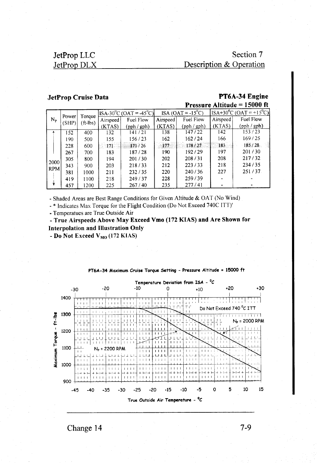# Section 7 Description & Operation

#### **JetProp Cruise Data**

### PT6A-34 Engine Pressure Altitude = 15000 ft

|            |       | Torque   | $ $ ISA-30 <sup>°</sup> C (OAT = -45 <sup>°</sup> C) |                           | $ISA (OAT = -15^0C)$ |           | $ $ ISA+30 <sup>0</sup> C (OAT = +15 <sup>0</sup> C) |                           |
|------------|-------|----------|------------------------------------------------------|---------------------------|----------------------|-----------|------------------------------------------------------|---------------------------|
| Np.        | Power | (ft-lbs) | Airspeed                                             | Fuel Flow                 | Airspeed             | Fuel Flow | Airspeed                                             | Fuel Flow                 |
|            | (SHP) |          | (KTAS)                                               | $(\text{pph}/\text{gph})$ | (KTAS)               | (pph/gph) | (KTAS)                                               | $(\text{pph}/\text{gph})$ |
|            | 152   | 400      | 132                                                  | 141 / 21                  | 138                  | 147/22    | 142                                                  | 153/23                    |
|            | 190.  | 500      | 155                                                  | 156/23                    | 162                  | 162/24    | 166                                                  | 169 / 25                  |
|            | 228   | 600      | 171                                                  | 171/26                    | 177                  | 178/27    | 183                                                  | 185/28                    |
|            | 267   | 700      | 183                                                  | 187/28                    | 190                  | 192/29    | 197                                                  | 201/30                    |
|            | 305   | 800      | 194                                                  | 201/30                    | 202                  | 208/31    | 208                                                  | 217/32                    |
| 2000       | 343   | 900      | 203                                                  | 218/33                    | 212                  | 223/33    | 218                                                  | 234/35                    |
| <b>RPM</b> | 381   | 1000     | 211                                                  | 232/35                    | 220                  | 240/36    | 227                                                  | 251/37                    |
|            | 419   | 1100     | 218                                                  | 249/37                    | 228                  | 259/39    |                                                      |                           |
|            | 457   | 1200     | 225                                                  | 267/40                    | 235                  | 277/41    |                                                      |                           |

- Shaded Areas are Best Range Conditions for Given Altitude & OAT (No Wind)

-\* Indicates Max Torque for the Flight Condition (Do Not Exceed 740C ITT)'

- Temperatues are True Outside Air

- True Airspeeds Above May Exceed Vmo (172 KIAS) and Are Shown for **Interpolation and Illustration Only** 

- Do Not Exceed V<sub>MO</sub> (172 KIAS)



PT6A-34 Maximum Cruise Torque Setting - Pressure Altitude = 15000 ft

Change 14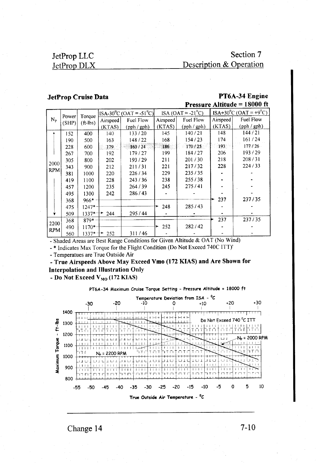Section 7 Description & Operation

### **JetProp Cruise Data**

#### PT6A-34 Engine Pressure Altitude = 18000 ft

|                    | Power | Torque     |                    | $ $ ISA-30 <sup>o</sup> C (OAT = -51 <sup>o</sup> C) |          | $ISA (OAT = -210C)$ |          | ISA+30 <sup>°</sup> C (OAT = +9 <sup>°</sup> C) |
|--------------------|-------|------------|--------------------|------------------------------------------------------|----------|---------------------|----------|-------------------------------------------------|
| $N_{\rm P}$        | (SHP) | $(ft-lbs)$ | Airspeed           | Fuel Flow                                            | Airspeed | Fuel Flow           | Airspeed | Fuel Flow                                       |
|                    |       |            | (KTAS)             | (pph / gph)                                          | (KTAS)   | (pph/gph)           | (KTAS)   | (pph / gph)                                     |
| ۸                  | 152   | 400        | 140                | 133/20                                               | 145      | 140/21              | 148      | 144/21                                          |
|                    | 190   | 500        | 163                | 148/22                                               | 168      | 154 / 23            | 174      | 161 / 24                                        |
|                    | 228   | 600        | 179.               | 163/24                                               | 186      | 170/25              | 193      | 177/26                                          |
|                    | 267   | 700        | 192                | 179/27                                               | 199      | 184/27              | 206      | 193/29                                          |
|                    | 305   | 800        | 202                | 193/29                                               | 211      | 201/30              | 218      | 208/31                                          |
| 2000<br><b>RPM</b> | 343   | 900        | 212                | 211/31                                               | 221      | 217/32              | 228      | 224/33                                          |
|                    | 381   | 1000       | 220                | 226/34                                               | 229      | 235/35              |          |                                                 |
|                    | 419   | 1100       | 228                | 243/36                                               | 238      | 255/38              |          |                                                 |
|                    | 457   | 1200       | 235                | 264/39                                               | 245      | 275/41              |          |                                                 |
|                    | 495   | 1300       | 242                | 286/43                                               |          |                     |          |                                                 |
|                    | 368   | $966*$     |                    |                                                      |          |                     | 237      | 237/35                                          |
|                    | 475   | 1247*      |                    |                                                      | 248      | 285/43              |          |                                                 |
|                    | 509   |            | 1337*+ 244         | 295/44                                               |          |                     |          |                                                 |
| 2200               | 368   | $879*$     |                    |                                                      |          |                     | 237      | 237/35                                          |
|                    | 490   | $1170*$    |                    |                                                      | 252      | 282/42              |          |                                                 |
| <b>RPM</b>         | 560   |            | $1337 \cdot + 252$ | 311/46                                               |          |                     |          |                                                 |

- Shaded Areas are Best Range Conditions for Given Altitude & OAT (No Wind)

- \* Indicates Max Torque for the Flight Condition (Do Not Exceed 740C ITT)'

- Temperatues are True Outside Air

- True Airspeeds Above May Exceed Vmo (172 KIAS) and Are Shown for **Interpolation and Illustration Only** 

- Do Not Exceed  $V_{MO}$  (172 KIAS)

PT6A-34 Maximum Cruise Torque Setting - Pressure Altitude = 18000 ft

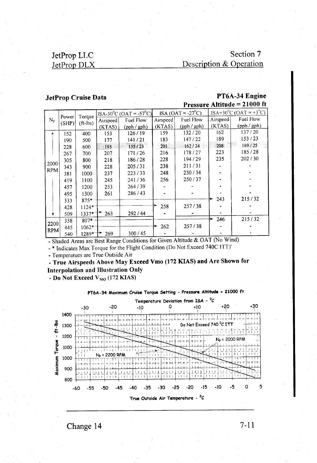Section 7 Description & Operation

#### JetProp Cruise Data

#### PT6A-34 Engine Pressure Altitude = 21000 ft

|             |                |                      |             | $ISA-30^0C$ (OAT = -57 <sup>0</sup> C) |          | $ISA (OAT = -27^0C)$      |          | $ISA+30^{\circ}C$ (OAT = +3 <sup>o</sup> C) |
|-------------|----------------|----------------------|-------------|----------------------------------------|----------|---------------------------|----------|---------------------------------------------|
| $N_{\rm p}$ | Power<br>(SHP) | Torque<br>$(ft-lbs)$ | Airspeed    | Fuel Flow                              | Airspeed | <b>Fuel Flow</b>          | Airspeed | Fuel Flow                                   |
|             |                |                      | (KTAS)      | (pph/gph)                              | (KTAS)   | $(\text{pph}/\text{gph})$ | (KTAS)   | $(\text{pph}/\text{gph})$                   |
|             | 152            | 400                  | 153         | 126/19                                 | 159      | 132/20                    | 162      | 137/20                                      |
|             | 190            | 500                  | 177         | 141/21                                 | 183      | 147/22                    | 189      | 153/23                                      |
|             | 228            | 600                  | 193         | 155/23                                 | 201      | 162/24                    | 208      | 169/25                                      |
|             | 267            | 700                  | 207         | 171/26                                 | 216      | 178/27                    | 223      | 185/28                                      |
|             | 305            | 800                  | 218         | 186/28                                 | 228      | 194/29                    | 235      | 202/30                                      |
| 2000        | 343            | 900                  | 228         | 205/31                                 | 238      | 211/31                    |          |                                             |
| <b>RPM</b>  | 381            | 1000                 | 237         | 223/33                                 | 248      | 230/34                    |          |                                             |
|             | 419            | 1100                 | 245         | 241/36                                 | 256      | 250/37                    |          |                                             |
|             | 457            | 1200                 | 253         | 264/39                                 |          |                           |          |                                             |
|             | 495            | 1300                 | 261         | 286/43                                 |          |                           |          |                                             |
|             | 333            | 875*                 |             |                                        |          |                           | 243      | 215/32                                      |
|             | 428            | $1124*$              |             |                                        | 258      | 257/38                    |          |                                             |
|             | 509            | $1337 \cdot 7$       | 263         | 292/44                                 |          |                           |          |                                             |
|             | 338            | 807*                 |             |                                        |          |                           | 246      | 215/32                                      |
| 2200        | 445            | $1062*$              |             |                                        | 262      | 257/38                    |          |                                             |
| <b>RPM</b>  | 540            |                      | 1289*十* 269 | 300/45                                 |          |                           |          |                                             |

- Shaded Areas are Best Range Conditions for Given Altitude & OAT (No Wind)

- \* Indicates Max Torque for the Flight Condition (Do Not Exceed 740C ITT)'

- Temperatues are True Outside Air

- True Airspeeds Above May Exceed Vmo (172 KIAS) and Are Shown for **Interpolation and Illustration Only** 

- Do Not Exceed  $V_{MO}$  (172 KIAS)





Change 14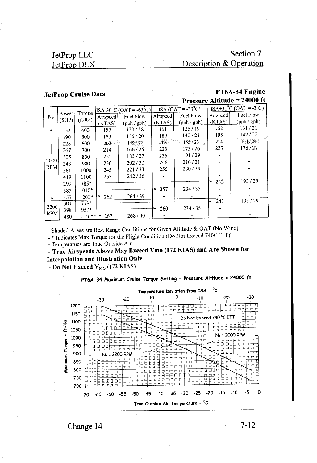# Section 7 Description & Operation

#### **JetProp Cruise Data**

### PT6A-34 Engine Pressure Altitude = 24000 ft

|             |       | Torque     |          | $ $ ISA-30 <sup>0</sup> C (OAT = -63 <sup>0</sup> C) | ISA (OAT = $-33^{\circ}$ C) |             | $ISA+30^0C$ (OAT = -3 <sup>0</sup> C) |             |
|-------------|-------|------------|----------|------------------------------------------------------|-----------------------------|-------------|---------------------------------------|-------------|
| $N_{\tt P}$ | Power |            | Airspeed | Fuel Flow                                            | Airspeed                    | Fuel Flow   | Airspeed                              | Fuel Flow   |
|             | (SHP) | $(ft-lbs)$ | (KTAS)   | $(\text{pph}/\text{gph})$                            | (KTAS)                      | (pph / gph) | (KTAS)                                | (pph / gph) |
|             | 152   | 400        | 157      | 120/18                                               | 161                         | 125/19      | 162                                   | 131/20      |
|             | 190   | 500        | 183      | 135/20                                               | 189                         | 140/21      | 195                                   | 147/22      |
|             | 228   | 600        | 200      | 149/22                                               | 208                         | 155/23      | 214                                   | 163/24      |
|             | 267   | 700        | 214      | 166/25                                               | 223                         | 173/26      | 229                                   | 178/27      |
|             | 305   | 800        | 225      | 183/27                                               | 235                         | 191/29      |                                       |             |
| 2000        | 343   | 900        | 236      | 202/30                                               | 246                         | 210/31      |                                       |             |
| <b>RPM</b>  | 381   | 1000       | 245      | 221/33                                               | 255                         | 230/34      |                                       |             |
|             | 419   | 1100       | 253      | 242/36                                               |                             |             |                                       |             |
|             | 299   | 785*       |          |                                                      |                             |             | 242                                   | 193/29      |
|             | 385   | $1010*$    |          |                                                      | 257                         | 234/35      |                                       |             |
| v           | 457   | $1200*+$   | 262      | 264/39                                               |                             |             |                                       |             |
|             | 301   | $719*$     |          |                                                      |                             |             | 243                                   | 193/29      |
| 2200        | 398   | $950*$     |          |                                                      | 260                         | 234/35      |                                       |             |
| <b>RPM</b>  | 480   | $1146*+$   | 267      | 268/40                                               |                             |             |                                       |             |

- Shaded Areas are Best Range Conditions for Given Altitude & OAT (No Wind)

- \* Indicates Max Torque for the Flight Condition (Do Not Exceed 740C ITT)'

- Temperatues are True Outside Air

- True Airspeeds Above May Exceed Vmo (172 KIAS) and Are Shown for **Interpolation and Illustration Only** 

- Do Not Exceed V<sub>MO</sub> (172 KIAS)

PT6A-34 Maximum Cruise Torque Setting - Pressure Altitude = 24000 ft

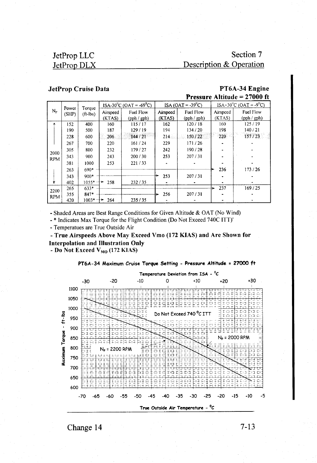# Section 7 Description & Operation

#### **JetProp Cruise Data**

PT6A-34 Engine Pressure Altitude = 27000 ft

| $N_{\rm P}$ | Power<br>(SHP) | Torque<br>$(ft-lbs)$ | $ISA-30^{\circ}C$ (OAT = -69 <sup>o</sup> C) |             |          | $ISA (OAT = -39^{\circ}C)$ |          | $ISA+30^{\circ}C$ (OAT = -9 <sup>o</sup> C) |  |
|-------------|----------------|----------------------|----------------------------------------------|-------------|----------|----------------------------|----------|---------------------------------------------|--|
|             |                |                      | Airspeed                                     | Fuel Flow   | Airspeed | Fuel Flow                  | Airspeed | Fuel Flow                                   |  |
|             |                |                      | (KTAS)                                       | (pph / gph) | (KTAS)   | (pph / gph)                | (KTAS)   | (pph / gph)                                 |  |
|             | 152            | 400                  | 160                                          | 115/17      | 162      | 120/18                     | 160      | 125/19                                      |  |
|             | 190            | 500                  | 187                                          | 129/19      | 194      | 134/20                     | 198      | 140/21                                      |  |
|             | 228            | 600                  | 206                                          | 144/21      | 214      | 150/22                     | 220      | 157/23                                      |  |
|             | 267            | 700                  | 220                                          | 161/24      | 229      | 171/26                     |          |                                             |  |
| 2000        | 305            | 800                  | 232                                          | 179/27      | 242      | 190/28                     |          |                                             |  |
| <b>RPM</b>  | 343            | 900                  | 243                                          | 200/30      | 253      | 207/31                     |          |                                             |  |
|             | 381            | 1000                 | 253                                          | 221/33      |          |                            |          |                                             |  |
|             | 263            | 690*                 |                                              |             |          |                            | 236      | 173/26                                      |  |
|             | 343            | 900*                 |                                              |             | 253      | 207/31                     |          |                                             |  |
|             | 402            | 1055*                | 258<br>⊣→                                    | 232/35      |          |                            |          |                                             |  |
| 2200        | 265            | $633*$               |                                              |             |          |                            | 237      | 169/25                                      |  |
| <b>RPM</b>  | 355            | $847*$               |                                              |             | 256      | 207/31                     |          |                                             |  |
|             | 420            | $1003* +$            | 264                                          | 235/35      |          |                            |          |                                             |  |

- Shaded Areas are Best Range Conditions for Given Altitude & OAT (No Wind)

- \* Indicates Max Torque for the Flight Condition (Do Not Exceed 740C ITT)'

- Temperatues are True Outside Air

- True Airspeeds Above May Exceed Vmo (172 KIAS) and Are Shown for **Interpolation and Illustration Only** 

- Do Not Exceed  $V_{MO}$  (172 KIAS)